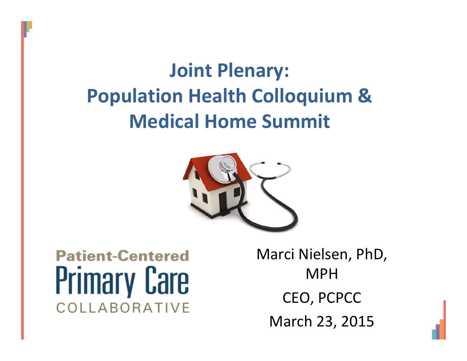## **Joint Plenary: Population Health Colloquium & Medical Home Summit**



**Patient-Centered Primary Care** COLLABORATIVE

Marci Nielsen, PhD, MPHCEO, PCPCC March 23, 2015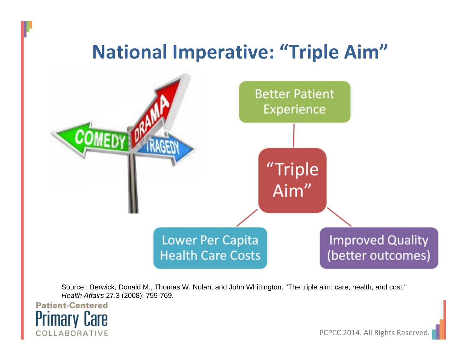## **National Imperative: "Triple Aim"**



Source : Berwick, Donald M., Thomas W. Nolan, and John Whittington. "The triple aim: care, health, and cost." *Health Affairs* 27.3 (2008): 759-769.



PCPCC 2014. All Rights Reserved.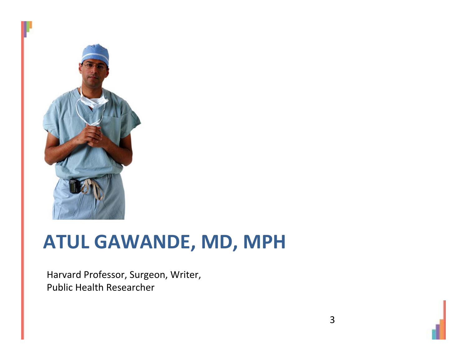

### **ATUL GAWANDE, MD, MPH**

Harvard Professor, Surgeon, Writer, Public Health Researcher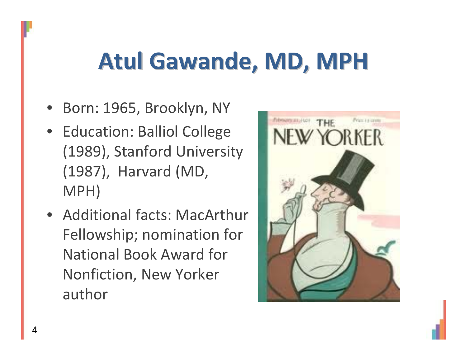# **Atul Gawande, Gawande, MD, MPH**

- Born: 1965, Brooklyn, NY
- Education: Balliol College (1989), Stanford University (1987), Harvard (MD, MPH)
- Additional facts: MacArthurFellowship; nomination for National Book Award for Nonfiction, New Yorker author

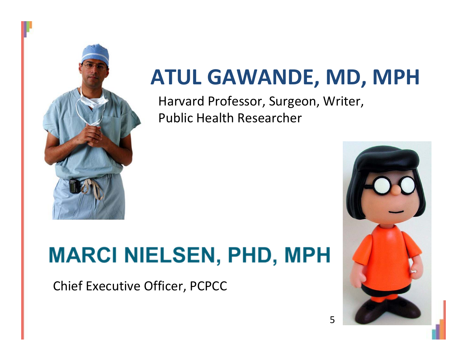## **ATUL GAWANDE, MD, MPH**

Harvard Professor, Surgeon, Writer, Public Health Researcher

## **MARCI NIELSEN, PHD, MPH**

### Chief Executive Officer, PCPCC

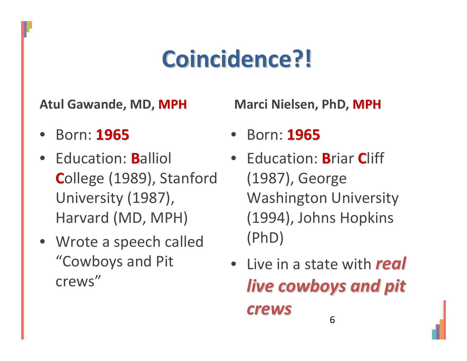# **Coincidence?! Coincidence?!**

**Atul Gawande, MD, MPH**

- Born: **1965**
- Education: **B**alliol **C**ollege (1989), Stanford University (1987), Harvard (MD, MPH)
- Wrote a speech called "Cowboys and Pit crews"

**Marci Nielsen, PhD, MPH**

- Born: **1965**
- Education:**B**riar**C**liff(1987), George Washington University (1994), Johns Hopkins (PhD)
- Live in a state with **real** *live cowboys cowboys and pit crews*6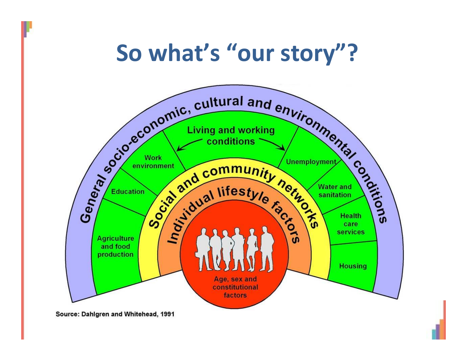## **So what's "our story"?**



Source: Dahlgren and Whitehead, 1991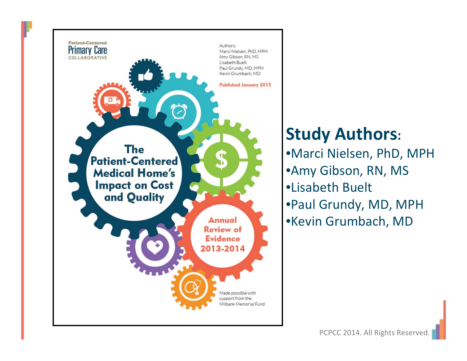

### **Study Authors:**

•Marci Nielsen, PhD, MPH •Amy Gibson, RN, MS •Lisabeth Buelt •Paul Grundy, MD, MPH •Kevin Grumbach, MD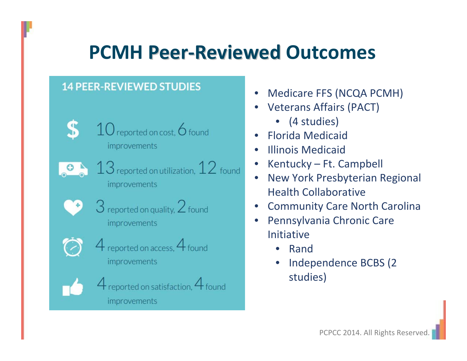## **PCMH Peer‐Reviewed Reviewed Outcomes**

#### **14 PEER-REVIEWED STUDIES**



 $13$  reported on utilization,  $12$  found  $\circ$ improvements

> $3$  reported on quality,  $2$  found improvements

 $4$  reported on access,  $4$  found improvements

 $\mathfrak l$  reported on satisfaction,  $\mathfrak l$  found improvements

- Medicare FFS (NCQA PCMH)
- Veterans Affairs (PACT)
	- (4 studies)
- Florida Medicaid
- Illinois Medicaid
- Kentucky Ft. Campbell
- New York Presbyterian Regional Health Collaborative
- Community Care North Carolina
- Pennsylvania Chronic Care Initiative
	- Rand
	- Independence BCBS (2 studies)

PCPCC 2014. All Rights Reserved.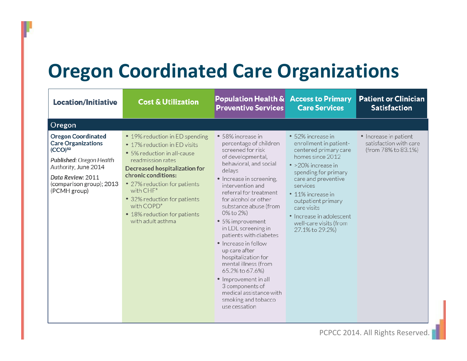## **Oregon Coordinated Care Organizations**

| <b>Location/Initiative</b>                                                                                                                                                                         | <b>Cost &amp; Utilization</b>                                                                                                                                                                                                                                                                                                                 | <b>Population Health &amp; Access to Primary</b><br><b>Preventive Services</b>                                                                                                                                                                                                                                                                                                                                                                                                                                                                                  | <b>Care Services</b>                                                                                                                                                                                                                                                                                                       | <b>Patient or Clinician</b><br><b>Satisfaction</b>                     |
|----------------------------------------------------------------------------------------------------------------------------------------------------------------------------------------------------|-----------------------------------------------------------------------------------------------------------------------------------------------------------------------------------------------------------------------------------------------------------------------------------------------------------------------------------------------|-----------------------------------------------------------------------------------------------------------------------------------------------------------------------------------------------------------------------------------------------------------------------------------------------------------------------------------------------------------------------------------------------------------------------------------------------------------------------------------------------------------------------------------------------------------------|----------------------------------------------------------------------------------------------------------------------------------------------------------------------------------------------------------------------------------------------------------------------------------------------------------------------------|------------------------------------------------------------------------|
| Oregon                                                                                                                                                                                             |                                                                                                                                                                                                                                                                                                                                               |                                                                                                                                                                                                                                                                                                                                                                                                                                                                                                                                                                 |                                                                                                                                                                                                                                                                                                                            |                                                                        |
| <b>Oregon Coordinated</b><br><b>Care Organizations</b><br>(CCO) <sup>53</sup><br>Published: Oregon Health<br>Authority, June 2014<br>Data Review: 2011<br>(comparison group); 2013<br>(PCMH group) | • 19% reduction in ED spending<br>• 17% reduction in ED visits<br>• 5% reduction in all-cause<br>readmission rates<br><b>Decreased hospitalization for</b><br>chronic conditions:<br>• 27% reduction for patients<br>with CHF*<br>• 32% reduction for patients<br>with COPD <sup>*</sup><br>• 18% reduction for patients<br>with adult asthma | • 58% increase in<br>percentage of children<br>screened for risk<br>of developmental,<br>behavioral, and social<br>delays<br>• Increase in screening,<br>intervention and<br>referral for treatment<br>for alcohol or other<br>substance abuse (from<br>0% to 2%)<br>• 5% improvement<br>in LDL screening in<br>patients with diabetes<br>• Increase in follow<br>up care after<br>hospitalization for<br>mental illness (from<br>65.2% to 67.6%)<br>• Improvement in all<br>3 components of<br>medical assistance with<br>smoking and tobacco<br>use cessation | • 52% increase in<br>enrollment in patient-<br>centered primary care<br>homes since 2012<br>$\cdot$ >20% increase in<br>spending for primary<br>care and preventive<br>services<br>$\bullet$ 11% increase in<br>outpatient primary<br>care visits<br>· Increase in adolescent<br>well-care visits (from<br>27.1% to 29.2%) | · Increase in patient<br>satisfaction with care<br>(from 78% to 83.1%) |
|                                                                                                                                                                                                    |                                                                                                                                                                                                                                                                                                                                               |                                                                                                                                                                                                                                                                                                                                                                                                                                                                                                                                                                 |                                                                                                                                                                                                                                                                                                                            |                                                                        |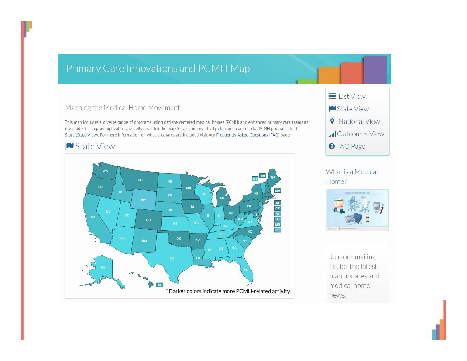#### Primary Care Innovations and PCMH Map

#### Mapping the Medical Home Movement:

This map includes a diverse range of programs using patient-centered medical homes (PCMH) and enhanced primary care teams as the model for improving health care delivery. Click the map for a summary of all public and commercial PCMH programs in the State (State View). For more information on what programs are included visit our Frequently Asked Questions (FAQ) page.





#### What is a Medical Home?



Join our mailing list for the latest map updates and medical home news.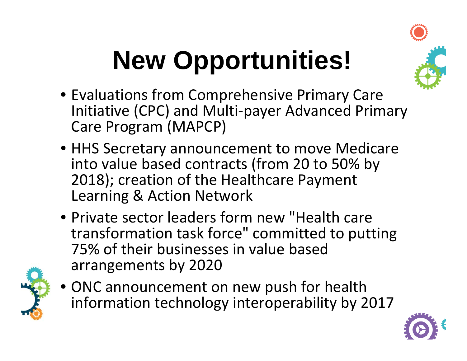



- Evaluations from Comprehensive Primary Care Initiative (CPC) and Multi ‐payer Advanced Primary Care Program (MAPCP)
- HHS Secretary announcement to move Medicare into value based contracts (from 20 to 50% by 2018); creation of the Healthcare Payment Learning & Action Network
- Private sector leaders form new "Health care transformation task force" committed to putting 75% of their businesses in value based arrangements by 2020



• ONC announcement on new push for health information technology interoperability by 2017

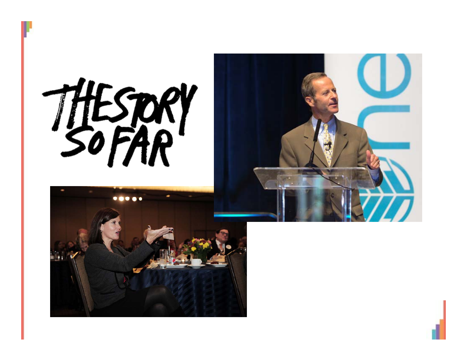



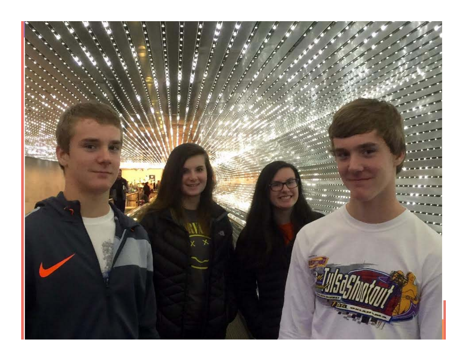*<u>ELECTRONIC</u>* m.

Active Real Property

And the first year of

**SERVICE STATE** 

×,

**Second control of the Control of Control of Control of Control of Control of Control of Control of Control Second Contract of the Contract of the Contract of the Contract of the Contract of the Contract of the Contract of the Contract of the Contract of the Contract of the Contract of the Contract of the Contract of the Contra CONSTRUCTION AND INCOME.** 

And Links of the Contract of the Contract of the Contract of the Contract of the Contract of the Contract of the Contract of the Contract of the Contract of the Contract of Contract of Contract of Contract of Contract of C

And the Contract of the Contract of the Contract of the Contract of the Contract of the Contract of the Contract of the Contract of the Contract of the Contract of the Contract of the Contract of the Contract of the Contra

Andrew Charles Rolling Street, Suite & Street, Suite & Street, Suite & Street, Suite & Street, Suite & Street

Antonio Section Antonio

Accepted the first state of the contract of the

BEFORE THE POST OF THE PARTY

B

÷.

 $\mathcal{L}$ 

**MARKETER** 

**Call Radio** 

Sandwicken State Concern Concern Concern Concern Concern Concern Concern Concern Concern Concern Concern Concern Concern Concern Concern Concern Concern Concern Concern Concern Concern Concern Concern Concern Concern Conce

Article Bandwicker Communication

**CALL AND REAL PROPERTY** 

And is a little of the contract of the contract of the contract of the contract of the contract of the contract of the contract of the contract of the contract of the contract of the contract of the contract of the contrac

A Marian Richard Robert Robert Charles

A A LA LA LA LA CARACTERI